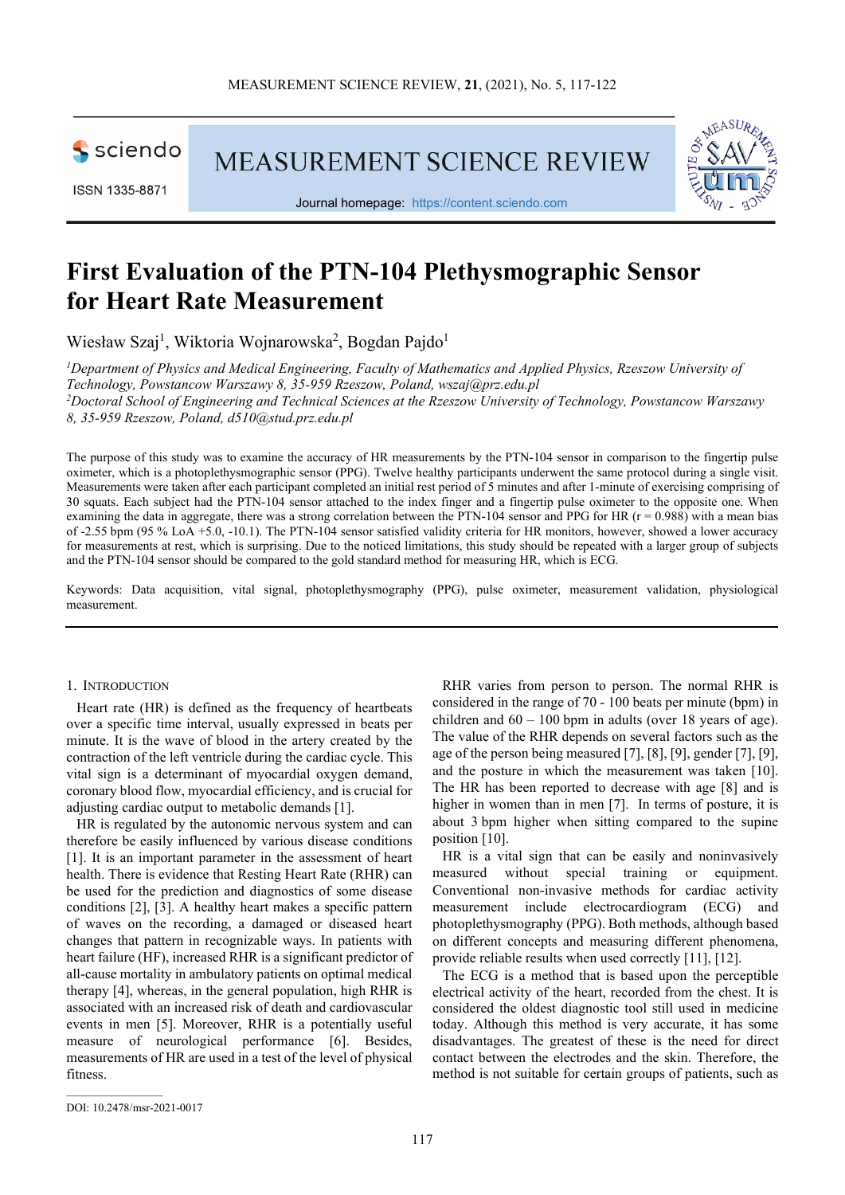

ISSN 1335-8871

MEASUREMENT SCIENCE REVIEW



Journal homepage: [https://content.sciendo.com](https://content.sciendo.com/view/journals/msr/msr-overview.xml)

# **First Evaluation of the PTN-104 Plethysmographic Sensor for Heart Rate Measurement**

Wiesław Szaj<sup>1</sup>, Wiktoria Wojnarowska<sup>2</sup>, Bogdan Pajdo<sup>1</sup>

<sup>1</sup>Department of Physics and Medical Engineering, Faculty of Mathematics and Applied Physics, Rzeszow University of *Technology, Powstancow Warszawy 8, 35-959 Rzeszow, Poland, wszaj@prz.edu.pl 2 Doctoral School of Engineering and Technical Sciences at the Rzeszow University of Technology, Powstancow Warszawy 8, 35-959 Rzeszow, Poland, d510@stud.prz.edu.pl*

The purpose of this study was to examine the accuracy of HR measurements by the PTN-104 sensor in comparison to the fingertip pulse oximeter, which is a photoplethysmographic sensor (PPG). Twelve healthy participants underwent the same protocol during a single visit. Measurements were taken after each participant completed an initial rest period of 5 minutes and after 1-minute of exercising comprising of 30 squats. Each subject had the PTN-104 sensor attached to the index finger and a fingertip pulse oximeter to the opposite one. When examining the data in aggregate, there was a strong correlation between the PTN-104 sensor and PPG for HR ( $r = 0.988$ ) with a mean bias of -2.55 bpm (95 % LoA +5.0, -10.1). The PTN-104 sensor satisfied validity criteria for HR monitors, however, showed a lower accuracy for measurements at rest, which is surprising. Due to the noticed limitations, this study should be repeated with a larger group of subjects and the PTN-104 sensor should be compared to the gold standard method for measuring HR, which is ECG.

Keywords: Data acquisition, vital signal, photoplethysmography (PPG), pulse oximeter, measurement validation, physiological measurement.

#### 1. INTRODUCTION

Heart rate (HR) is defined as the frequency of heartbeats over a specific time interval, usually expressed in beats per minute. It is the wave of blood in the artery created by the contraction of the left ventricle during the cardiac cycle. This vital sign is a determinant of myocardial oxygen demand, coronary blood flow, myocardial efficiency, and is crucial for adjusting cardiac output to metabolic demands [1].

HR is regulated by the autonomic nervous system and can therefore be easily influenced by various disease conditions [1]. It is an important parameter in the assessment of heart health. There is evidence that Resting Heart Rate (RHR) can be used for the prediction and diagnostics of some disease conditions [2], [3]. A healthy heart makes a specific pattern of waves on the recording, a damaged or diseased heart changes that pattern in recognizable ways. In patients with heart failure (HF), increased RHR is a significant predictor of all-cause mortality in ambulatory patients on optimal medical therapy [4], whereas, in the general population, high RHR is associated with an increased risk of death and cardiovascular events in men [5]. Moreover, RHR is a potentially useful measure of neurological performance [6]. Besides, measurements of HR are used in a test of the level of physical fitness.

RHR varies from person to person. The normal RHR is considered in the range of 70 - 100 beats per minute (bpm) in children and  $60 - 100$  bpm in adults (over 18 years of age). The value of the RHR depends on several factors such as the age of the person being measured [7], [8], [9], gender [7], [9], and the posture in which the measurement was taken [10]. The HR has been reported to decrease with age [8] and is higher in women than in men [7]. In terms of posture, it is about 3 bpm higher when sitting compared to the supine position [10].

HR is a vital sign that can be easily and noninvasively measured without special training or equipment. Conventional non-invasive methods for cardiac activity measurement include electrocardiogram (ECG) and photoplethysmography (PPG). Both methods, although based on different concepts and measuring different phenomena, provide reliable results when used correctly [11], [12].

The ECG is a method that is based upon the perceptible electrical activity of the heart, recorded from the chest. It is considered the oldest diagnostic tool still used in medicine today. Although this method is very accurate, it has some disadvantages. The greatest of these is the need for direct contact between the electrodes and the skin. Therefore, the method is not suitable for certain groups of patients, such as

 $\mathcal{L}_\text{max}$  and  $\mathcal{L}_\text{max}$  and  $\mathcal{L}_\text{max}$ 

DOI: 10.2478/msr-2021-0017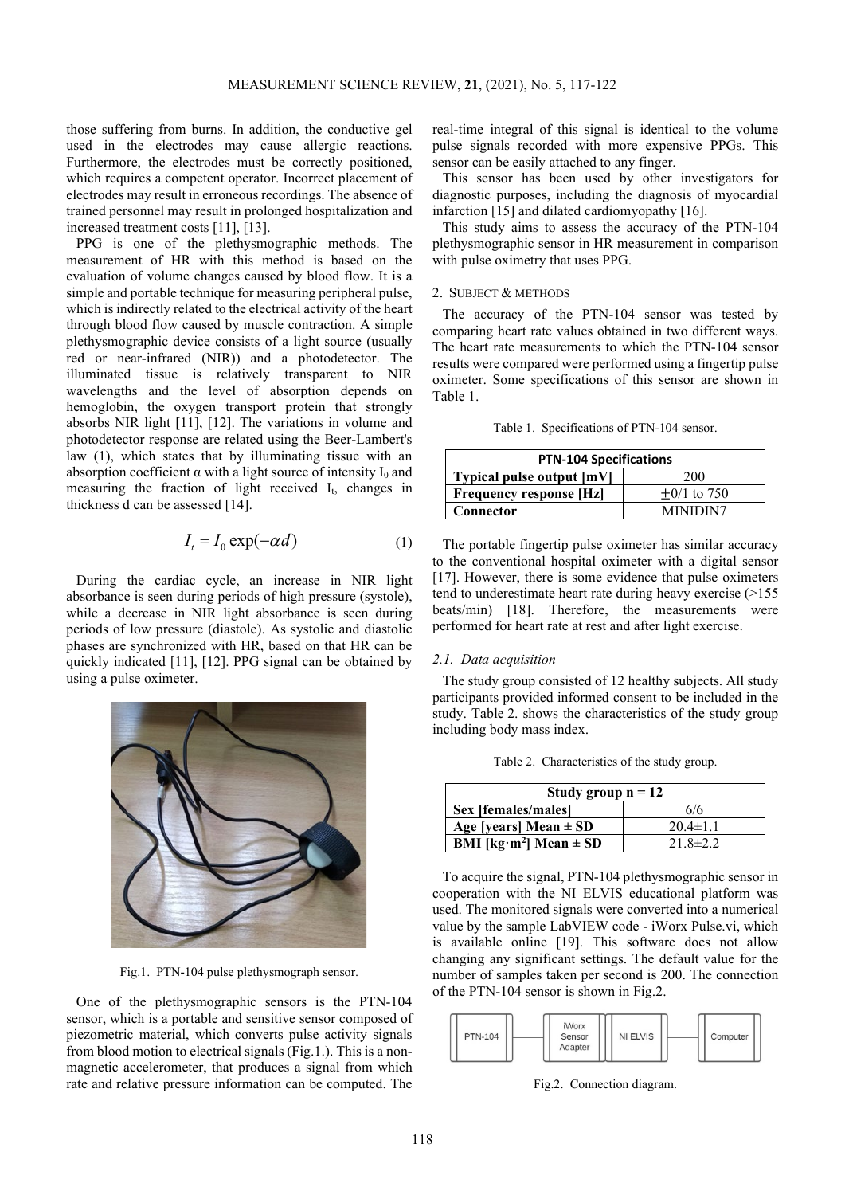those suffering from burns. In addition, the conductive gel used in the electrodes may cause allergic reactions. Furthermore, the electrodes must be correctly positioned, which requires a competent operator. Incorrect placement of electrodes may result in erroneous recordings. The absence of trained personnel may result in prolonged hospitalization and increased treatment costs [11], [13].

PPG is one of the plethysmographic methods. The measurement of HR with this method is based on the evaluation of volume changes caused by blood flow. It is a simple and portable technique for measuring peripheral pulse, which is indirectly related to the electrical activity of the heart through blood flow caused by muscle contraction. A simple plethysmographic device consists of a light source (usually red or near-infrared (NIR)) and a photodetector. The illuminated tissue is relatively transparent to NIR wavelengths and the level of absorption depends on hemoglobin, the oxygen transport protein that strongly absorbs NIR light [11], [12]. The variations in volume and photodetector response are related using the Beer-Lambert's law (1), which states that by illuminating tissue with an absorption coefficient  $\alpha$  with a light source of intensity I<sub>0</sub> and measuring the fraction of light received I<sub>t</sub>, changes in thickness d can be assessed [14].

$$
I_t = I_0 \exp(-\alpha d) \tag{1}
$$

During the cardiac cycle, an increase in NIR light absorbance is seen during periods of high pressure (systole), while a decrease in NIR light absorbance is seen during periods of low pressure (diastole). As systolic and diastolic phases are synchronized with HR, based on that HR can be quickly indicated [11], [12]. PPG signal can be obtained by using a pulse oximeter.



Fig.1. PTN-104 pulse plethysmograph sensor.

One of the plethysmographic sensors is the PTN-104 sensor, which is a portable and sensitive sensor composed of piezometric material, which converts pulse activity signals from blood motion to electrical signals (Fig.1.). This is a nonmagnetic accelerometer, that produces a signal from which rate and relative pressure information can be computed. The

real-time integral of this signal is identical to the volume pulse signals recorded with more expensive PPGs. This sensor can be easily attached to any finger.

This sensor has been used by other investigators for diagnostic purposes, including the diagnosis of myocardial infarction [15] and dilated cardiomyopathy [16].

This study aims to assess the accuracy of the PTN-104 plethysmographic sensor in HR measurement in comparison with pulse oximetry that uses PPG.

## 2. SUBJECT & METHODS

The accuracy of the PTN-104 sensor was tested by comparing heart rate values obtained in two different ways. The heart rate measurements to which the PTN-104 sensor results were compared were performed using a fingertip pulse oximeter. Some specifications of this sensor are shown in Table 1.

|  | Table 1. Specifications of PTN-104 sensor. |  |  |
|--|--------------------------------------------|--|--|
|--|--------------------------------------------|--|--|

| <b>PTN-104 Specifications</b>  |                 |  |
|--------------------------------|-----------------|--|
| Typical pulse output [mV]      | <b>200</b>      |  |
| <b>Frequency response [Hz]</b> | $+0/1$ to 750   |  |
| Connector                      | <b>MINIDIN7</b> |  |

The portable fingertip pulse oximeter has similar accuracy to the conventional hospital oximeter with a digital sensor [17]. However, there is some evidence that pulse oximeters tend to underestimate heart rate during heavy exercise (>155 beats/min) [18]. Therefore, the measurements were performed for heart rate at rest and after light exercise.

#### *2.1. Data acquisition*

The study group consisted of 12 healthy subjects. All study participants provided informed consent to be included in the study. Table 2. shows the characteristics of the study group including body mass index.

Table 2. Characteristics of the study group.

| Study group $n = 12$          |                |  |
|-------------------------------|----------------|--|
| Sex [females/males]           | 6/6            |  |
| Age [years] Mean $\pm$ SD     | $20.4 \pm 1.1$ |  |
| BMI [ $kg·m2$ ] Mean $\pm$ SD | $21.8 \pm 2.2$ |  |

To acquire the signal, PTN-104 plethysmographic sensor in cooperation with the NI ELVIS educational platform was used. The monitored signals were converted into a numerical value by the sample LabVIEW code - iWorx Pulse.vi, which is available online [19]. This software does not allow changing any significant settings. The default value for the number of samples taken per second is 200. The connection of the PTN-104 sensor is shown in Fig.2.



Fig.2. Connection diagram.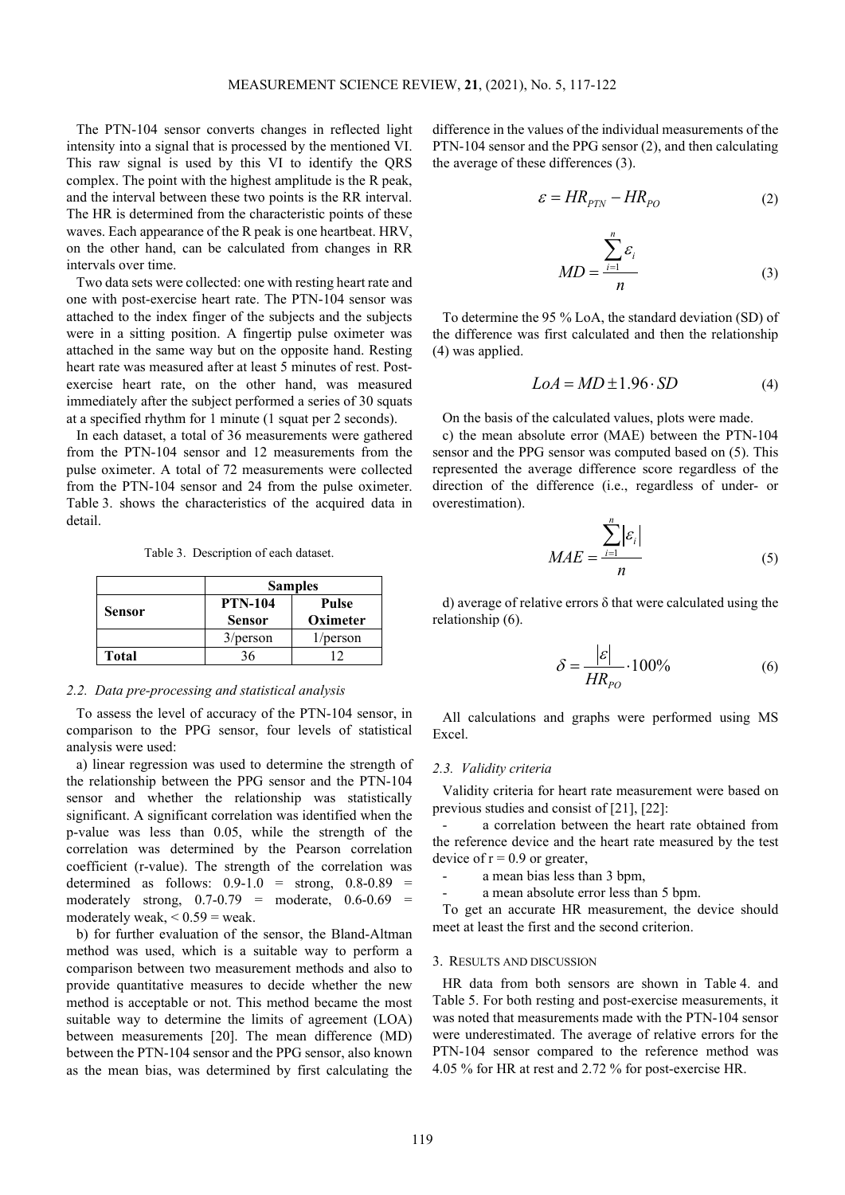The PTN-104 sensor converts changes in reflected light intensity into a signal that is processed by the mentioned VI. This raw signal is used by this VI to identify the QRS complex. The point with the highest amplitude is the R peak, and the interval between these two points is the RR interval. The HR is determined from the characteristic points of these waves. Each appearance of the R peak is one heartbeat. HRV, on the other hand, can be calculated from changes in RR intervals over time.

Two data sets were collected: one with resting heart rate and one with post-exercise heart rate. The PTN-104 sensor was attached to the index finger of the subjects and the subjects were in a sitting position. A fingertip pulse oximeter was attached in the same way but on the opposite hand. Resting heart rate was measured after at least 5 minutes of rest. Postexercise heart rate, on the other hand, was measured immediately after the subject performed a series of 30 squats at a specified rhythm for 1 minute (1 squat per 2 seconds).

In each dataset, a total of 36 measurements were gathered from the PTN-104 sensor and 12 measurements from the pulse oximeter. A total of 72 measurements were collected from the PTN-104 sensor and 24 from the pulse oximeter. Table 3. shows the characteristics of the acquired data in detail.

Table 3. Description of each dataset.

|              | <b>Samples</b>                  |                   |  |
|--------------|---------------------------------|-------------------|--|
| Sensor       | <b>PTN-104</b><br><b>Sensor</b> | Pulse<br>Oximeter |  |
|              | $3$ /person                     | 1/person          |  |
| <b>Total</b> |                                 |                   |  |

## *2.2. Data pre-processing and statistical analysis*

To assess the level of accuracy of the PTN-104 sensor, in comparison to the PPG sensor, four levels of statistical analysis were used:

a) linear regression was used to determine the strength of the relationship between the PPG sensor and the PTN-104 sensor and whether the relationship was statistically significant. A significant correlation was identified when the p-value was less than 0.05, while the strength of the correlation was determined by the Pearson correlation coefficient (r-value). The strength of the correlation was determined as follows:  $0.9-1.0 =$  strong,  $0.8-0.89 =$ moderately strong,  $0.7 - 0.79$  = moderate,  $0.6 - 0.69$  = moderately weak,  $< 0.59$  = weak.

b) for further evaluation of the sensor, the Bland-Altman method was used, which is a suitable way to perform a comparison between two measurement methods and also to provide quantitative measures to decide whether the new method is acceptable or not. This method became the most suitable way to determine the limits of agreement (LOA) between measurements [20]. The mean difference (MD) between the PTN-104 sensor and the PPG sensor, also known as the mean bias, was determined by first calculating the difference in the values of the individual measurements of the PTN-104 sensor and the PPG sensor (2), and then calculating the average of these differences (3).

$$
\varepsilon = HR_{PTN} - HR_{PO} \tag{2}
$$

$$
MD = \frac{\sum_{i=1}^{n} \varepsilon_i}{n}
$$
 (3)

To determine the 95 % LoA, the standard deviation (SD) of the difference was first calculated and then the relationship (4) was applied.

$$
LoA = MD \pm 1.96 \cdot SD \tag{4}
$$

On the basis of the calculated values, plots were made.

c) the mean absolute error (MAE) between the PTN-104 sensor and the PPG sensor was computed based on (5). This represented the average difference score regardless of the direction of the difference (i.e., regardless of under- or overestimation).

*n*

$$
MAE = \frac{\sum_{i=1}^{n} |\varepsilon_i|}{n}
$$
 (5)

d) average of relative errors δ that were calculated using the relationship (6).

$$
\delta = \frac{|\varepsilon|}{HR_{po}} \cdot 100\% \tag{6}
$$

All calculations and graphs were performed using MS Excel.

#### *2.3. Validity criteria*

Validity criteria for heart rate measurement were based on previous studies and consist of [21], [22]:

a correlation between the heart rate obtained from the reference device and the heart rate measured by the test device of  $r = 0.9$  or greater,

a mean bias less than 3 bpm,

a mean absolute error less than 5 bpm.

To get an accurate HR measurement, the device should meet at least the first and the second criterion.

#### 3. RESULTS AND DISCUSSION

HR data from both sensors are shown in Table 4. and Table 5. For both resting and post-exercise measurements, it was noted that measurements made with the PTN-104 sensor were underestimated. The average of relative errors for the PTN-104 sensor compared to the reference method was 4.05 % for HR at rest and 2.72 % for post-exercise HR.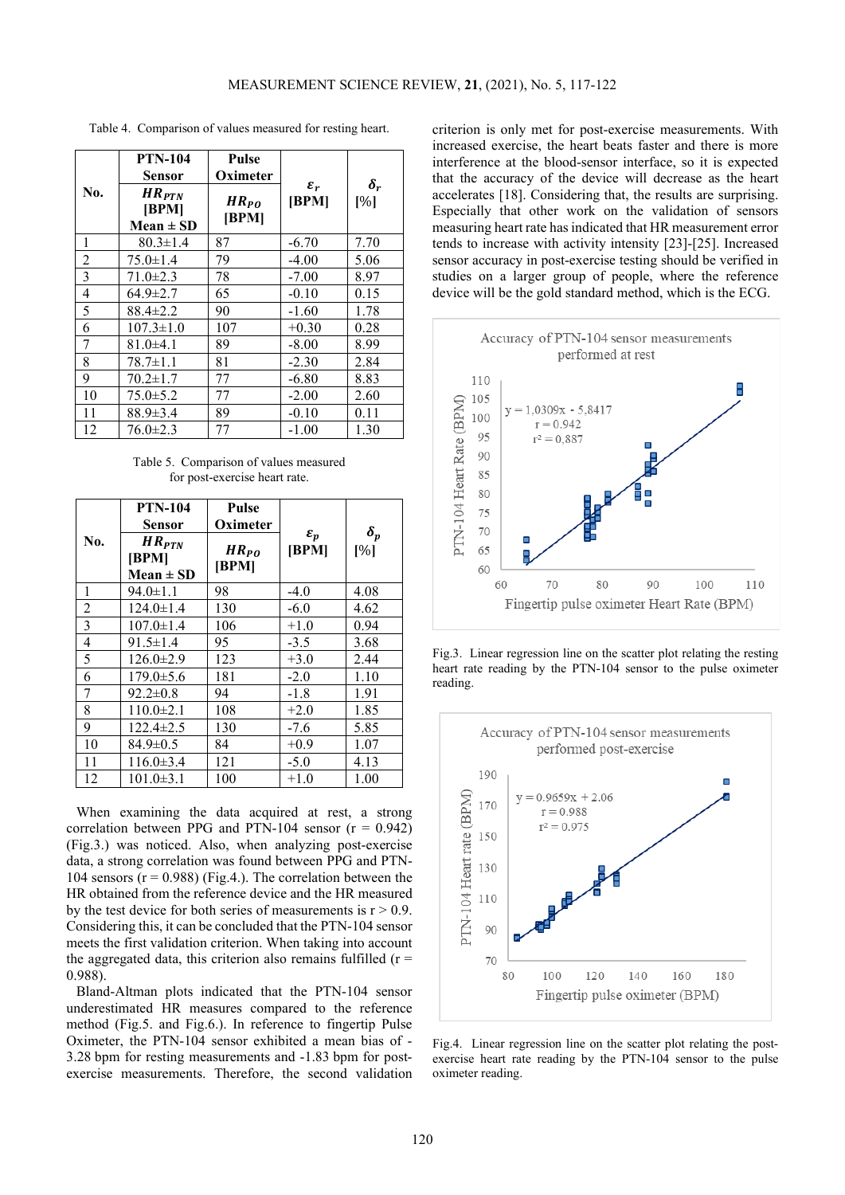Table 4. Comparison of values measured for resting heart.

|                | <b>PTN-104</b><br>Sensor             | Pulse<br>Oximeter  | $\varepsilon_r$<br>[BPM] | $\boldsymbol{\delta_r}$<br>[%] |
|----------------|--------------------------------------|--------------------|--------------------------|--------------------------------|
| No.            | $HR_{PTN}$<br>[BPM]<br>$Mean \pm SD$ | $HR_{PO}$<br>[BPM] |                          |                                |
| 1              | $80.3 \pm 1.4$                       | 87                 | $-6.70$                  | 7.70                           |
| $\overline{2}$ | $75.0 \pm 1.4$                       | 79                 | $-4.00$                  | 5.06                           |
| 3              | $71.0 \pm 2.3$                       | 78                 | $-7.00$                  | 8.97                           |
| 4              | $64.9 \pm 2.7$                       | 65                 | $-0.10$                  | 0.15                           |
| 5              | $88.4 \pm 2.2$                       | 90                 | $-1.60$                  | 1.78                           |
| 6              | $107.3 \pm 1.0$                      | 107                | $+0.30$                  | 0.28                           |
| 7              | $81.0 \pm 4.1$                       | 89                 | $-8.00$                  | 8.99                           |
| 8              | $78.7 \pm 1.1$                       | 81                 | $-2.30$                  | 2.84                           |
| 9              | $70.2 \pm 1.7$                       | 77                 | $-6.80$                  | 8.83                           |
| 10             | $75.0 \pm 5.2$                       | 77                 | $-2.00$                  | 2.60                           |
| 11             | $88.9 \pm 3.4$                       | 89                 | $-0.10$                  | 0.11                           |
| 12             | $76.0 \pm 2.3$                       | 77                 | $-1.00$                  | 1.30                           |

Table 5. Comparison of values measured for post-exercise heart rate.

|     | <b>PTN-104</b>                       | Pulse              |                          |                         |
|-----|--------------------------------------|--------------------|--------------------------|-------------------------|
|     | <b>Sensor</b>                        | Oximeter           |                          | $\boldsymbol{\delta_p}$ |
| No. | $HR_{PTN}$<br>[BPM]<br>$Mean \pm SD$ | $HR_{PO}$<br>[BPM] | $\varepsilon_p$<br>[BPM] | [%]                     |
| 1   | $94.0 \pm 1.1$                       | 98                 | $-4.0$                   | 4.08                    |
| 2   | $124.0 \pm 1.4$                      | 130                | $-6.0$                   | 4.62                    |
| 3   | $107.0 \pm 1.4$                      | 106                | $+1.0$                   | 0.94                    |
| 4   | $91.5 \pm 1.4$                       | 95                 | $-3.5$                   | 3.68                    |
| 5   | $126.0 \pm 2.9$                      | 123                | $+3.0$                   | 2.44                    |
| 6   | $179.0 \pm 5.6$                      | 181                | $-2.0$                   | 1.10                    |
| 7   | $92.2 \pm 0.8$                       | 94                 | $-1.8$                   | 1.91                    |
| 8   | $110.0 \pm 2.1$                      | 108                | $+2.0$                   | 1.85                    |
| 9   | $122.4 \pm 2.5$                      | 130                | $-7.6$                   | 5.85                    |
| 10  | $84.9 \pm 0.5$                       | 84                 | $+0.9$                   | 1.07                    |
| 11  | $116.0 \pm 3.4$                      | 121                | $-5.0$                   | 4.13                    |
| 12  | $101.0 \pm 3.1$                      | 100                | $+1.0$                   | 1.00                    |

When examining the data acquired at rest, a strong correlation between PPG and PTN-104 sensor  $(r = 0.942)$ (Fig.3.) was noticed. Also, when analyzing post-exercise data, a strong correlation was found between PPG and PTN-104 sensors  $(r = 0.988)$  (Fig.4.). The correlation between the HR obtained from the reference device and the HR measured by the test device for both series of measurements is  $r > 0.9$ . Considering this, it can be concluded that the PTN-104 sensor meets the first validation criterion. When taking into account the aggregated data, this criterion also remains fulfilled  $(r =$ 0.988).

Bland-Altman plots indicated that the PTN-104 sensor underestimated HR measures compared to the reference method (Fig.5. and Fig.6.). In reference to fingertip Pulse Oximeter, the PTN-104 sensor exhibited a mean bias of - 3.28 bpm for resting measurements and -1.83 bpm for postexercise measurements. Therefore, the second validation criterion is only met for post-exercise measurements. With increased exercise, the heart beats faster and there is more interference at the blood-sensor interface, so it is expected that the accuracy of the device will decrease as the heart accelerates [18]. Considering that, the results are surprising. Especially that other work on the validation of sensors measuring heart rate has indicated that HR measurement error tends to increase with activity intensity [23]-[25]. Increased sensor accuracy in post-exercise testing should be verified in studies on a larger group of people, where the reference device will be the gold standard method, which is the ECG.



Fig.3. Linear regression line on the scatter plot relating the resting heart rate reading by the PTN-104 sensor to the pulse oximeter reading.



Fig.4. Linear regression line on the scatter plot relating the postexercise heart rate reading by the PTN-104 sensor to the pulse oximeter reading.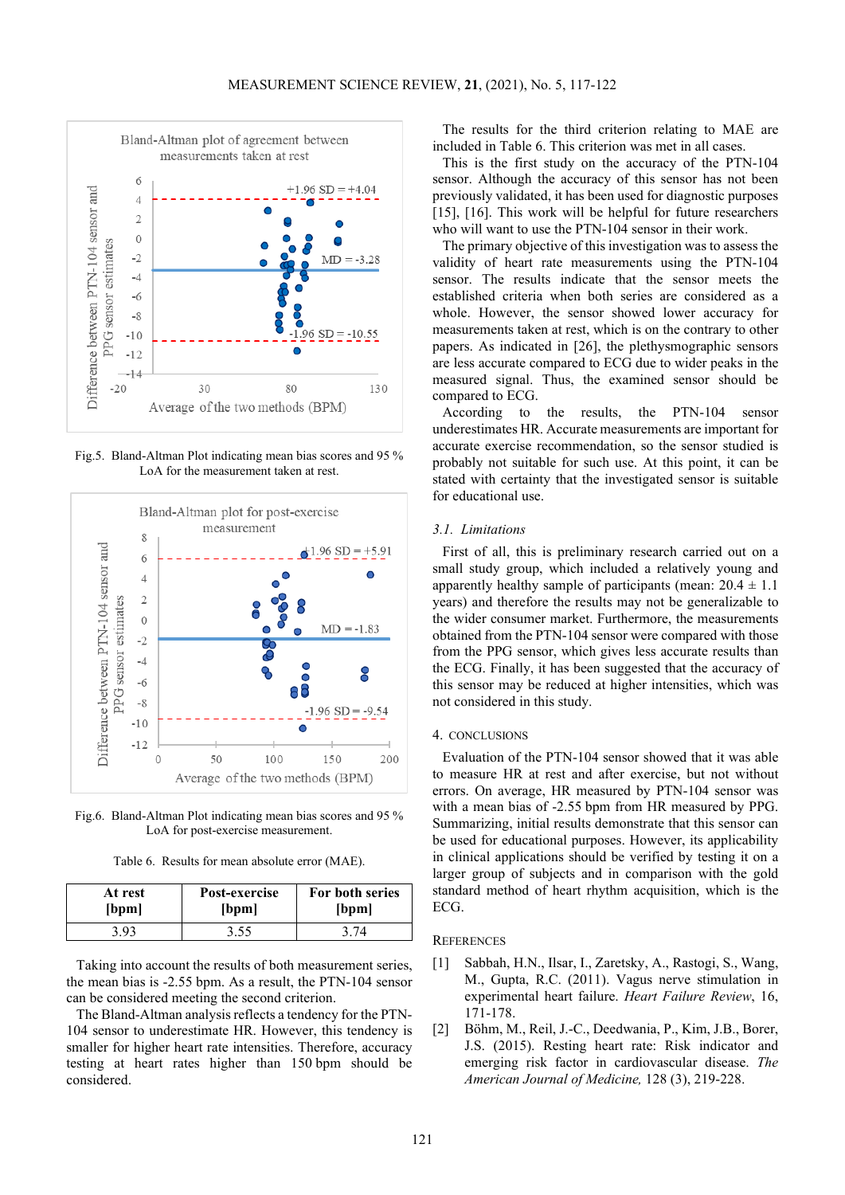

Fig.5. Bland-Altman Plot indicating mean bias scores and 95 % LoA for the measurement taken at rest.



Fig.6. Bland-Altman Plot indicating mean bias scores and 95 % LoA for post-exercise measurement.

Table 6. Results for mean absolute error (MAE).

| At rest | Post-exercise | For both series |
|---------|---------------|-----------------|
| bpm     | bpm           | [bpm]           |
| -93     | 3.55          |                 |

Taking into account the results of both measurement series, the mean bias is -2.55 bpm. As a result, the PTN-104 sensor can be considered meeting the second criterion.

The Bland-Altman analysis reflects a tendency for the PTN-104 sensor to underestimate HR. However, this tendency is smaller for higher heart rate intensities. Therefore, accuracy testing at heart rates higher than 150 bpm should be considered.

The results for the third criterion relating to MAE are included in Table 6. This criterion was met in all cases.

This is the first study on the accuracy of the PTN-104 sensor. Although the accuracy of this sensor has not been previously validated, it has been used for diagnostic purposes [15], [16]. This work will be helpful for future researchers who will want to use the PTN-104 sensor in their work.

The primary objective of this investigation was to assess the validity of heart rate measurements using the PTN-104 sensor. The results indicate that the sensor meets the established criteria when both series are considered as a whole. However, the sensor showed lower accuracy for measurements taken at rest, which is on the contrary to other papers. As indicated in [26], the plethysmographic sensors are less accurate compared to ECG due to wider peaks in the measured signal. Thus, the examined sensor should be compared to ECG.

According to the results, the PTN-104 sensor underestimates HR. Accurate measurements are important for accurate exercise recommendation, so the sensor studied is probably not suitable for such use. At this point, it can be stated with certainty that the investigated sensor is suitable for educational use.

### *3.1. Limitations*

First of all, this is preliminary research carried out on a small study group, which included a relatively young and apparently healthy sample of participants (mean:  $20.4 \pm 1.1$ ) years) and therefore the results may not be generalizable to the wider consumer market. Furthermore, the measurements obtained from the PTN-104 sensor were compared with those from the PPG sensor, which gives less accurate results than the ECG. Finally, it has been suggested that the accuracy of this sensor may be reduced at higher intensities, which was not considered in this study.

#### 4. CONCLUSIONS

Evaluation of the PTN-104 sensor showed that it was able to measure HR at rest and after exercise, but not without errors. On average, HR measured by PTN-104 sensor was with a mean bias of -2.55 bpm from HR measured by PPG. Summarizing, initial results demonstrate that this sensor can be used for educational purposes. However, its applicability in clinical applications should be verified by testing it on a larger group of subjects and in comparison with the gold standard method of heart rhythm acquisition, which is the ECG.

#### **REFERENCES**

- [1] Sabbah, H.N., Ilsar, I., Zaretsky, A., Rastogi, S., Wang, M., Gupta, R.C. (2011). Vagus nerve stimulation in experimental heart failure. *Heart Failure Review*, 16, 171-178.
- [2] Böhm, M., Reil, J.-C., Deedwania, P., Kim, J.B., Borer, J.S. (2015). Resting heart rate: Risk indicator and emerging risk factor in cardiovascular disease. *The American Journal of Medicine,* 128 (3), 219-228.